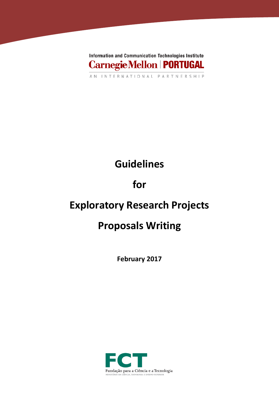

# **Guidelines**

# **for**

## **Exploratory Research Projects**

## **Proposals Writing**

**February 2017**

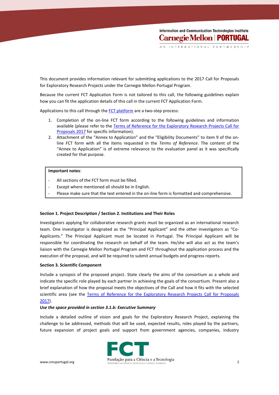INTERNATIONAL P

This document provides information relevant for submitting applications to the 2017 Call for Proposals for Exploratory Research Projects under the Carnegie Mellon Portugal Program.

Because the current FCT Application Form is not tailored to this call, the following guidelines explain how you can fit the application details of this call in the current FCT Application Form.

Applications to this call through the [FCT platform](https://concursos.fct.pt/projectos/) are a two-step process:

- 1. Completion of the on-line FCT form according to the following guidelines and information available (please refer to the [Terms of Reference for the Exploratory Research Projects Call for](https://www.fct.pt/apoios/projectos/concursos/cmu/2017/docs/CMU_Portugal_Program_2017_Terms_of_Reference.pdf)  [Proposals 2017](https://www.fct.pt/apoios/projectos/concursos/cmu/2017/docs/CMU_Portugal_Program_2017_Terms_of_Reference.pdf) for specific information).
- 2. Attachment of the "Annex to Application" and the "Eligibility Documents" to item 9 of the online FCT form with all the items requested in the *Terms of Reference*. The content of the "Annex to Application" is of extreme relevance to the evaluation panel as it was specifically created for that purpose.

### **Important notes**:

- All sections of the FCT form must be filled.
- Except where mentioned all should be in English.
- Please make sure that the text entered in the on-line form is formatted and comprehensive.

### **Section 1. Project Description / Section 2. Institutions and Their Roles**

Investigators applying for collaborative research grants must be organized as an international research team. One investigator is designated as the "Principal Applicant" and the other investigators as "Co-Applicants." The Principal Applicant must be located in Portugal. The Principal Applicant will be responsible for coordinating the research on behalf of the team. He/she will also act as the team's liaison with the Carnegie Mellon Portugal Program and FCT throughout the application process and the execution of the proposal, and will be required to submit annual budgets and progress reports.

### **Section 3. Scientific Component**

Include a synopsis of the proposed project. State clearly the aims of the consortium as a whole and indicate the specific role played by each partner in achieving the goals of the consortium. Present also a brief explanation of how the proposal meets the objectives of the Call and how it fits with the selected scientific area (see the Terms of Reference for the Exploratory Research Projects Call for Proposals [2017\)](https://www.fct.pt/apoios/projectos/concursos/cmu/2017/docs/CMU_Portugal_Program_2017_Terms_of_Reference.pdf).

#### *Use the space provided in section 3.1.b: Executive Summary*

Include a detailed outline of vision and goals for the Exploratory Research Project, explaining the challenge to be addressed, methods that will be used, expected results, roles played by the partners, future expansion of project goals and support from government agencies, companies, industry

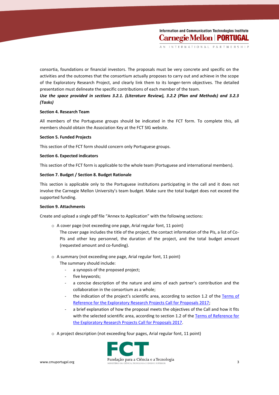consortia, foundations or financial investors. The proposals must be very concrete and specific on the activities and the outcomes that the consortium actually proposes to carry out and achieve in the scope of the Exploratory Research Project, and clearly link them to its longer-term objectives. The detailed presentation must delineate the specific contributions of each member of the team.

## *Use the space provided in sections 3.2.1. (Literature Review), 3.2.2 (Plan and Methods) and 3.2.3 (Tasks)*

## **Section 4. Research Team**

All members of the Portuguese groups should be indicated in the FCT form. To complete this, all members should obtain the Association Key at the FCT SIG website.

## **Section 5. Funded Projects**

This section of the FCT form should concern only Portuguese groups.

## **Section 6. Expected indicators**

This section of the FCT form is applicable to the whole team (Portuguese and international members).

## **Section 7. Budget / Section 8. Budget Rationale**

This section is applicable only to the Portuguese institutions participating in the call and it does not involve the Carnegie Mellon University's team budget. Make sure the total budget does not exceed the supported funding.

## **Section 9. Attachments**

Create and upload a single pdf file "Annex to Application" with the following sections:

- o A cover page (not exceeding one page, Arial regular font, 11 point) The cover page includes the title of the project, the contact information of the PIs, a list of Co-PIs and other key personnel, the duration of the project, and the total budget amount (requested amount and co-funding).
- o A summary (not exceeding one page, Arial regular font, 11 point)
	- The summary should include:
		- a synopsis of the proposed project;
		- five keywords;
		- a concise description of the nature and aims of each partner's contribution and the collaboration in the consortium as a whole;
		- the indication of the project's scientific area, according to section 1.2 of the Terms of [Reference for the Exploratory Research Projects Call for Proposals 2017;](https://www.fct.pt/apoios/projectos/concursos/cmu/2017/docs/CMU_Portugal_Program_2017_Terms_of_Reference.pdf)
		- a brief explanation of how the proposal meets the objectives of the Call and how it fits with the selected scientific area, according to section 1.2 of the Terms of Reference for [the Exploratory Research Projects Call for Proposals 2017.](https://www.fct.pt/apoios/projectos/concursos/cmu/2017/docs/CMU_Portugal_Program_2017_Terms_of_Reference.pdf)
- o A project description (not exceeding four pages, Arial regular font, 11 point)

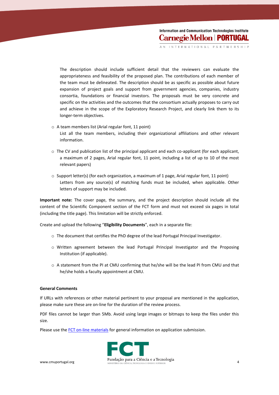INTERNATION

The description should include sufficient detail that the reviewers can evaluate the appropriateness and feasibility of the proposed plan. The contributions of each member of the team must be delineated. The description should be as specific as possible about future expansion of project goals and support from government agencies, companies, industry consortia, foundations or financial investors. The proposals must be very concrete and specific on the activities and the outcomes that the consortium actually proposes to carry out and achieve in the scope of the Exploratory Research Project, and clearly link them to its longer-term objectives.

- o A team members list (Arial regular font, 11 point) List all the team members, including their organizational affiliations and other relevant information.
- $\circ$  The CV and publication list of the principal applicant and each co-applicant (for each applicant, a maximum of 2 pages, Arial regular font, 11 point, including a list of up to 10 of the most relevant papers)
- $\circ$  Support letter(s) (for each organization, a maximum of 1 page, Arial regular font, 11 point) Letters from any source(s) of matching funds must be included, when applicable. Other letters of support may be included.

**Important note:** The cover page, the summary, and the project description should include all the content of the Scientific Component section of the FCT form and must not exceed six pages in total (including the title page). This limitation will be strictly enforced.

Create and upload the following "**Eligibility Documents**", each in a separate file:

- o The document that certifies the PhD degree of the lead Portugal Principal Investigator.
- o Written agreement between the lead Portugal Principal Investigator and the Proposing Institution (if applicable).
- o A statement from the PI at CMU confirming that he/she will be the lead PI from CMU and that he/she holds a faculty appointment at CMU.

## **General Comments**

If URLs with references or other material pertinent to your proposal are mentioned in the application, please make sure these are on-line for the duration of the review process.

PDF files cannot be larger than 5Mb. Avoid using large images or bitmaps to keep the files under this size.

Please use th[e FCT on-line materials](http://www.fct.pt/apoios/projectos/concursos/instrucoes.phtml.en) for general information on application submission.